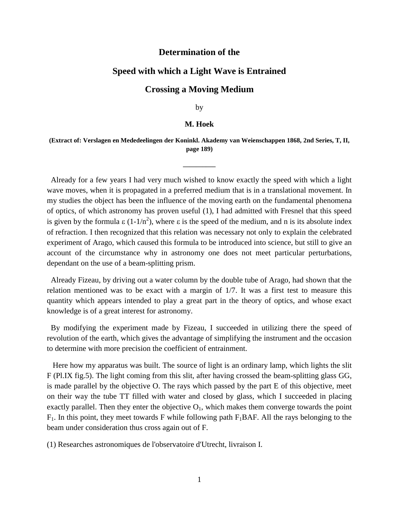### **Determination of the**

# **Speed with which a Light Wave is Entrained**

# **Crossing a Moving Medium**

by

#### **M. Hoek**

### **(Extract of: Verslagen en Mededeelingen der Koninkl. Akademy van Weienschappen 1868, 2nd Series, T, II, page 189)**

**\_\_\_\_\_\_\_\_\_\_**

 Already for a few years I had very much wished to know exactly the speed with which a light wave moves, when it is propagated in a preferred medium that is in a translational movement. In my studies the object has been the influence of the moving earth on the fundamental phenomena of optics, of which astronomy has proven useful (1), I had admitted with Fresnel that this speed is given by the formula  $\varepsilon (1-1/n^2)$ , where  $\varepsilon$  is the speed of the medium, and n is its absolute index of refraction. I then recognized that this relation was necessary not only to explain the celebrated experiment of Arago, which caused this formula to be introduced into science, but still to give an account of the circumstance why in astronomy one does not meet particular perturbations, dependant on the use of a beam-splitting prism.

 Already Fizeau, by driving out a water column by the double tube of Arago, had shown that the relation mentioned was to be exact with a margin of 1/7. It was a first test to measure this quantity which appears intended to play a great part in the theory of optics, and whose exact knowledge is of a great interest for astronomy.

 By modifying the experiment made by Fizeau, I succeeded in utilizing there the speed of revolution of the earth, which gives the advantage of simplifying the instrument and the occasion to determine with more precision the coefficient of entrainment.

Here how my apparatus was built. The source of light is an ordinary lamp, which lights the slit F (Pl.IX fig.5). The light coming from this slit, after having crossed the beam-splitting glass GG, is made parallel by the objective O. The rays which passed by the part E of this objective, meet on their way the tube TT filled with water and closed by glass, which I succeeded in placing exactly parallel. Then they enter the objective  $O<sub>1</sub>$ , which makes them converge towards the point  $F_1$ . In this point, they meet towards F while following path  $F_1BAF$ . All the rays belonging to the beam under consideration thus cross again out of F.

(1) Researches astronomiques de l'observatoire d'Utrecht, livraison I.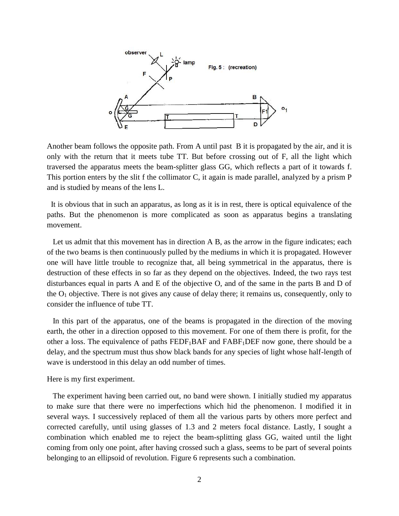

Another beam follows the opposite path. From A until past B it is propagated by the air, and it is only with the return that it meets tube TT. But before crossing out of F, all the light which traversed the apparatus meets the beam-splitter glass GG, which reflects a part of it towards f. This portion enters by the slit f the collimator C, it again is made parallel, analyzed by a prism P and is studied by means of the lens L.

 It is obvious that in such an apparatus, as long as it is in rest, there is optical equivalence of the paths. But the phenomenon is more complicated as soon as apparatus begins a translating movement.

Let us admit that this movement has in direction A B, as the arrow in the figure indicates; each of the two beams is then continuously pulled by the mediums in which it is propagated. However one will have little trouble to recognize that, all being symmetrical in the apparatus, there is destruction of these effects in so far as they depend on the objectives. Indeed, the two rays test disturbances equal in parts A and E of the objective O, and of the same in the parts B and D of the  $O_1$  objective. There is not gives any cause of delay there; it remains us, consequently, only to consider the influence of tube TT.

 In this part of the apparatus, one of the beams is propagated in the direction of the moving earth, the other in a direction opposed to this movement. For one of them there is profit, for the other a loss. The equivalence of paths  $FEDF_1BAF$  and  $FABF_1DEF$  now gone, there should be a delay, and the spectrum must thus show black bands for any species of light whose half-length of wave is understood in this delay an odd number of times.

Here is my first experiment.

 The experiment having been carried out, no band were shown. I initially studied my apparatus to make sure that there were no imperfections which hid the phenomenon. I modified it in several ways. I successively replaced of them all the various parts by others more perfect and corrected carefully, until using glasses of 1.3 and 2 meters focal distance. Lastly, I sought a combination which enabled me to reject the beam-splitting glass GG, waited until the light coming from only one point, after having crossed such a glass, seems to be part of several points belonging to an ellipsoid of revolution. Figure 6 represents such a combination.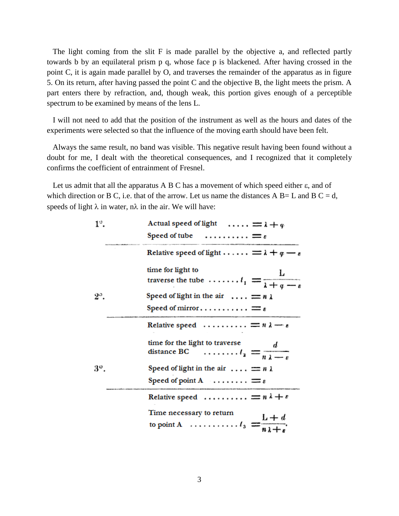The light coming from the slit F is made parallel by the objective a, and reflected partly towards b by an equilateral prism p q, whose face p is blackened. After having crossed in the point C, it is again made parallel by O, and traverses the remainder of the apparatus as in figure 5. On its return, after having passed the point C and the objective B, the light meets the prism. A part enters there by refraction, and, though weak, this portion gives enough of a perceptible spectrum to be examined by means of the lens L.

 I will not need to add that the position of the instrument as well as the hours and dates of the experiments were selected so that the influence of the moving earth should have been felt.

 Always the same result, no band was visible. This negative result having been found without a doubt for me, I dealt with the theoretical consequences, and I recognized that it completely confirms the coefficient of entrainment of Fresnel.

Let us admit that all the apparatus A B C has a movement of which speed either  $\varepsilon$ , and of which direction or B C, i.e. that of the arrow. Let us name the distances A B= L and B C = d, speeds of light  $\lambda$  in water,  $n\lambda$  in the air. We will have:

| $1^{\circ}$ . | Actual speed of light $\ldots$ $\ldots$ $\equiv$ $\lambda + q$                                                      |
|---------------|---------------------------------------------------------------------------------------------------------------------|
|               | Speed of tube $\ldots \ldots \ldots = \varepsilon$                                                                  |
|               | Relative speed of light $\dots \dots = \lambda + q$ –                                                               |
|               | time for light to                                                                                                   |
|               | time for light to<br>traverse the tube $\ldots \ldots \ldots \ldots \ldots \ldots \frac{L}{\lambda + q - \epsilon}$ |
| $2^{\circ}$ . | Speed of light in the air $\ldots = n \lambda$                                                                      |
|               | Speed of mirror $\equiv$ $\varepsilon$                                                                              |
|               | Relative speed $\ldots \ldots \ldots = n \lambda - \epsilon$                                                        |
|               | time for the light to traverse<br>distance BC $\ldots \ldots \ldots \ldots \frac{1}{n} = \frac{1}{n}$               |
| 3°.           | Speed of light in the air $\equiv n \lambda$                                                                        |
|               | Speed of point A $\dots \dots = s$                                                                                  |
|               | Relative speed $= n \lambda + \epsilon$                                                                             |
|               | Time necessary to return<br>to point A $\ldots \ldots \ldots \ldots$                                                |
|               |                                                                                                                     |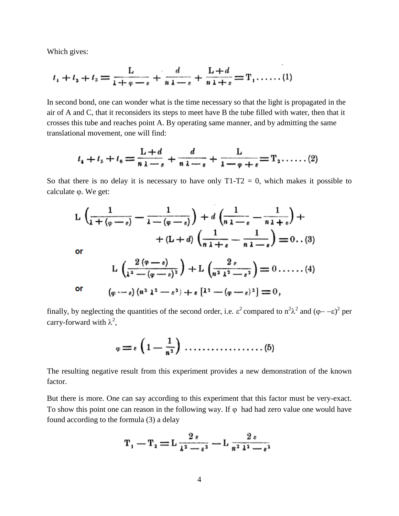Which gives:

$$
t_1 + t_2 + t_3 = \frac{L}{\lambda + \varphi - \varepsilon} + \frac{d}{\mu \lambda - \varepsilon} + \frac{L + d}{\mu \lambda + \varepsilon} = T_1 \dots \dots (1)
$$

In second bond, one can wonder what is the time necessary so that the light is propagated in the air of A and C, that it reconsiders its steps to meet have B the tube filled with water, then that it crosses this tube and reaches point A. By operating same manner, and by admitting the same translational movement, one will find:

$$
t_4+t_5+t_6=\frac{L+d}{n\,\lambda-s}+\frac{d}{n\,\lambda-s}+\frac{L}{\lambda-\varphi+s}=\mathrm{T}_2\ldots\ldots(2)
$$

So that there is no delay it is necessary to have only  $T1-T2 = 0$ , which makes it possible to calculate  $\varphi$ . We get:

$$
L\left(\frac{1}{\lambda+(\varphi-\varepsilon)}-\frac{1}{\lambda-(\varphi-\varepsilon)}\right)+d\left(\frac{1}{n\lambda-\varepsilon}-\frac{1}{n\lambda+\varepsilon}\right)+
$$
  
+ 
$$
(L+d)\left(\frac{1}{n\lambda+\varepsilon}-\frac{1}{n\lambda-\varepsilon}\right)=0.(3)
$$
  
or  

$$
L\left(\frac{2(\varphi-\varepsilon)}{\lambda^2-(\varphi-\varepsilon)^2}\right)+L\left(\frac{2\varepsilon}{n^2\lambda^2-\varepsilon^2}\right)=0.\dots...(4)
$$
  
or  

$$
(\varphi-\varepsilon)(n^2\lambda^2-\varepsilon^2)+\varepsilon[\lambda^2-(\varphi-\varepsilon)^2]=0,
$$

finally, by neglecting the quantities of the second order, i.e. 
$$
\varepsilon^2
$$
 compared to  $n^2\lambda^2$  and  $(\varphi - -\varepsilon)^2$  per carry-forward with  $\lambda^2$ ,

The resulting negative result from this experiment provides a new demonstration of the known factor.

But there is more. One can say according to this experiment that this factor must be very-exact. To show this point one can reason in the following way. If  $\varphi$  had had zero value one would have found according to the formula (3) a delay

$$
T_1 - T_2 = L \frac{2 \epsilon}{\lambda^2 - \epsilon^2} - L \frac{2 \epsilon}{n^2 \lambda^2 - \epsilon^2}
$$